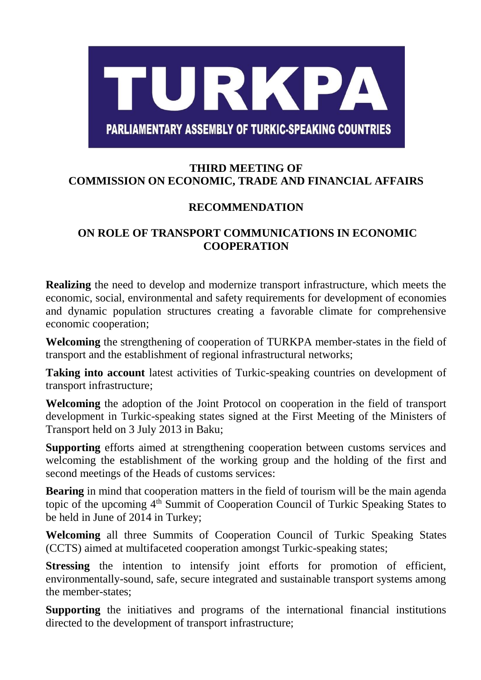## TURKPA **PARLIAMENTARY ASSEMBLY OF TURKIC-SPEAKING COUNTRIES**

## **THIRD MEETING OF COMMISSION ON ECONOMIC, TRADE AND FINANCIAL AFFAIRS**

## **RECOMMENDATION**

## **ON ROLE OF TRANSPORT COMMUNICATIONS IN ECONOMIC COOPERATION**

**Realizing** the need to develop and modernize transport infrastructure, which meets the economic, social, environmental and safety requirements for development of economies and dynamic population structures creating a favorable climate for comprehensive economic cooperation;

**Welcoming** the strengthening of cooperation of TURKPA member-states in the field of transport and the establishment of regional infrastructural networks;

**Taking into account** latest activities of Turkic-speaking countries on development of transport infrastructure;

**Welcoming** the adoption of the Joint Protocol on cooperation in the field of transport development in Turkic-speaking states signed at the First Meeting of the Ministers of Transport held on 3 July 2013 in Baku;

**Supporting** efforts aimed at strengthening cooperation between customs services and welcoming the establishment of the working group and the holding of the first and second meetings of the Heads of customs services:

**Bearing** in mind that cooperation matters in the field of tourism will be the main agenda topic of the upcoming 4<sup>th</sup> Summit of Cooperation Council of Turkic Speaking States to be held in June of 2014 in Turkey;

**Welcoming** all three Summits of Cooperation Council of Turkic Speaking States (CCTS) aimed at multifaceted cooperation amongst Turkic-speaking states;

**Stressing** the intention to intensify joint efforts for promotion of efficient, environmentally-sound, safe, secure integrated and sustainable transport systems among the member-states;

**Supporting** the initiatives and programs of the international financial institutions directed to the development of transport infrastructure;